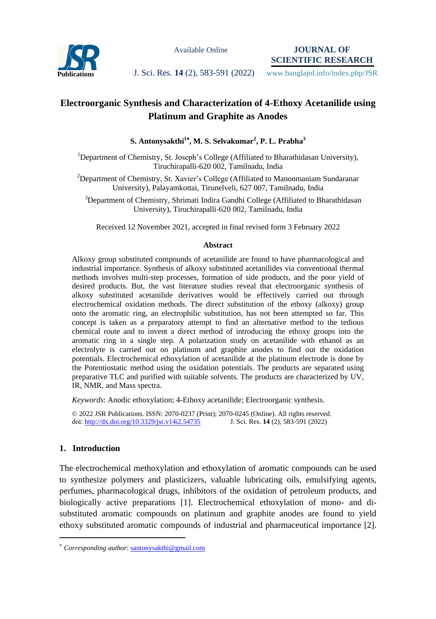

Available Online

**JOURNAL OF SCIENTIFIC RESEARCH**

**Publications J. Sci. Res. 14** (2), 583-591 (2022) www.banglajol.info/index.php/JSR

# **Electroorganic Synthesis and Characterization of 4-Ethoxy Acetanilide using Platinum and Graphite as Anodes**

# **S. Antonysakthi<sup>1</sup> , M. S. Selvakumar<sup>2</sup> , P. L. Prabha<sup>3</sup>**

<sup>1</sup>Department of Chemistry, St. Joseph's College (Affiliated to Bharathidasan University), Tiruchirapalli-620 002, Tamilnadu, India

 $2$ Department of Chemistry, St. Xavier's College (Affiliated to [Manonmaniam Sundaranar](https://www.msuniv.ac.in/Download/Pdf/b252fc805df14d4) University), Palayamkottai, Tirunelveli, 627 007, Tamilnadu, India

<sup>3</sup>Department of Chemistry, Shrimati Indira Gandhi College (Affiliated to Bharathidasan University), Tiruchirapalli-620 002, Tamilnadu, India

Received 12 November 2021, accepted in final revised form 3 February 2022

## **Abstract**

Alkoxy group substituted compounds of acetanilide are found to have pharmacological and industrial importance. Synthesis of alkoxy substituted acetanilides via conventional thermal methods involves multi-step processes, formation of side products, and the poor yield of desired products. But, the vast literature studies reveal that electroorganic synthesis of alkoxy substituted acetanilide derivatives would be effectively carried out through electrochemical oxidation methods. The direct substitution of the ethoxy (alkoxy) group onto the aromatic ring, an electrophilic substitution, has not been attempted so far. This concept is taken as a preparatory attempt to find an alternative method to the tedious chemical route and to invent a direct method of introducing the ethoxy groups into the aromatic ring in a single step. A polarization study on acetanilide with ethanol as an electrolyte is carried out on platinum and graphite anodes to find out the oxidation potentials. Electrochemical ethoxylation of acetanilide at the platinum electrode is done by the Potentiostatic method using the oxidation potentials. The products are separated using preparative TLC and purified with suitable solvents. The products are characterized by UV, IR, NMR, and Mass spectra.

*Keywords*: Anodic ethoxylation; 4-Ethoxy acetanilide; Electroorganic synthesis.

© 2022 JSR Publications. ISSN: 2070-0237 (Print); 2070-0245 (Online). All rights reserved. doi: http://dx.doi.org/10.3329/jsr.v14i2.54735

# **1. Introduction**

 $\overline{a}$ 

The electrochemical methoxylation and ethoxylation of aromatic compounds can be used to synthesize polymers and plasticizers, valuable lubricating oils, emulsifying agents, perfumes, pharmacological drugs, inhibitors of the oxidation of petroleum products, and biologically active preparations [1]. Electrochemical ethoxylation of mono- and disubstituted aromatic compounds on platinum and graphite anodes are found to yield ethoxy substituted aromatic compounds of industrial and pharmaceutical importance [2].

*Corresponding author*[: santonysakthi@gmail.com](mailto:santonysakthi@gmail.com)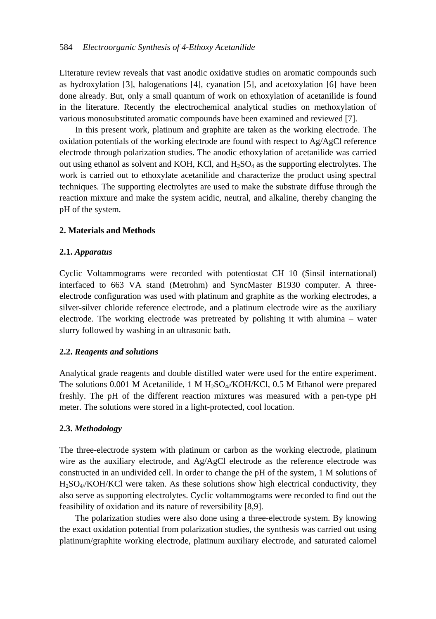Literature review reveals that vast anodic oxidative studies on aromatic compounds such as hydroxylation [3], halogenations [4], cyanation [5], and acetoxylation [6] have been done already. But, only a small quantum of work on ethoxylation of acetanilide is found in the literature. Recently the electrochemical analytical studies on methoxylation of various monosubstituted aromatic compounds have been examined and reviewed [7].

In this present work, platinum and graphite are taken as the working electrode. The oxidation potentials of the working electrode are found with respect to Ag/AgCl reference electrode through polarization studies. The anodic ethoxylation of acetanilide was carried out using ethanol as solvent and KOH, KCl, and  $H_2SO_4$  as the supporting electrolytes. The work is carried out to ethoxylate acetanilide and characterize the product using spectral techniques. The supporting electrolytes are used to make the substrate diffuse through the reaction mixture and make the system acidic, neutral, and alkaline, thereby changing the pH of the system.

# **2. Materials and Methods**

# **2.1.** *Apparatus*

Cyclic Voltammograms were recorded with potentiostat CH 10 (Sinsil international) interfaced to 663 VA stand (Metrohm) and SyncMaster B1930 computer. A threeelectrode configuration was used with platinum and graphite as the working electrodes, a silver-silver chloride reference electrode, and a platinum electrode wire as the auxiliary electrode. The working electrode was pretreated by polishing it with alumina – water slurry followed by washing in an ultrasonic bath.

# **2.2.** *Reagents and solutions*

Analytical grade reagents and double distilled water were used for the entire experiment. The solutions 0.001 M Acetanilide, 1 M  $H_2SO_4/KOH/KCl$ , 0.5 M Ethanol were prepared freshly. The pH of the different reaction mixtures was measured with a pen-type pH meter. The solutions were stored in a light-protected, cool location.

#### **2.3.** *Methodology*

The three-electrode system with platinum or carbon as the working electrode, platinum wire as the auxiliary electrode, and Ag/AgCl electrode as the reference electrode was constructed in an undivided cell. In order to change the pH of the system, 1 M solutions of  $H_2SO_4/KOH/KC$ l were taken. As these solutions show high electrical conductivity, they also serve as supporting electrolytes. Cyclic voltammograms were recorded to find out the feasibility of oxidation and its nature of reversibility [8,9].

The polarization studies were also done using a three-electrode system. By knowing the exact oxidation potential from polarization studies, the synthesis was carried out using platinum/graphite working electrode, platinum auxiliary electrode, and saturated calomel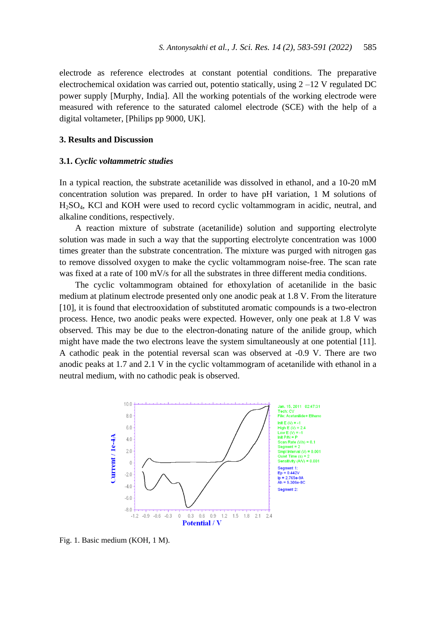electrode as reference electrodes at constant potential conditions. The preparative electrochemical oxidation was carried out, potentio statically, using 2 –12 V regulated DC power supply [Murphy, India]. All the working potentials of the working electrode were measured with reference to the saturated calomel electrode (SCE) with the help of a digital voltameter, [Philips pp 9000, UK].

## **3. Results and Discussion**

#### **3.1.** *Cyclic voltammetric studies*

In a typical reaction, the substrate acetanilide was dissolved in ethanol, and a 10-20 mM concentration solution was prepared. In order to have pH variation, 1 M solutions of H2SO4, KCl and KOH were used to record cyclic voltammogram in acidic, neutral, and alkaline conditions, respectively.

A reaction mixture of substrate (acetanilide) solution and supporting electrolyte solution was made in such a way that the supporting electrolyte concentration was 1000 times greater than the substrate concentration. The mixture was purged with nitrogen gas to remove dissolved oxygen to make the cyclic voltammogram noise-free. The scan rate was fixed at a rate of 100 mV/s for all the substrates in three different media conditions.

The cyclic voltammogram obtained for ethoxylation of acetanilide in the basic medium at platinum electrode presented only one anodic peak at 1.8 V. From the literature [10], it is found that electrooxidation of substituted aromatic compounds is a two-electron process. Hence, two anodic peaks were expected. However, only one peak at 1.8 V was observed. This may be due to the electron-donating nature of the anilide group, which might have made the two electrons leave the system simultaneously at one potential [11]. A cathodic peak in the potential reversal scan was observed at -0.9 V. There are two anodic peaks at 1.7 and 2.1 V in the cyclic voltammogram of acetanilide with ethanol in a neutral medium, with no cathodic peak is observed.



Fig. 1. Basic medium (KOH, 1 M).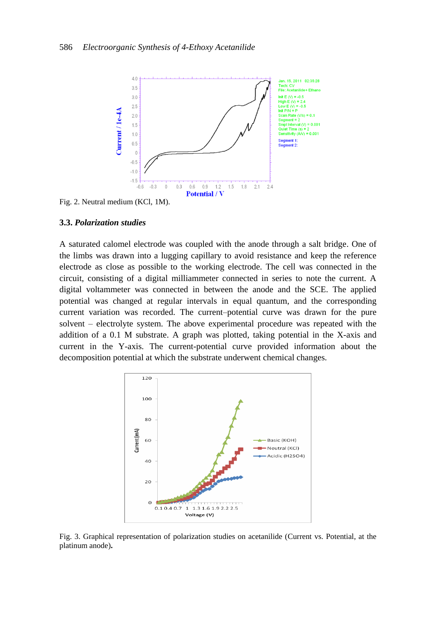

Fig. 2. Neutral medium (KCl, 1M).

#### **3.3.** *Polarization studies*

A saturated calomel electrode was coupled with the anode through a salt bridge. One of the limbs was drawn into a lugging capillary to avoid resistance and keep the reference electrode as close as possible to the working electrode. The cell was connected in the circuit, consisting of a digital milliammeter connected in series to note the current. A digital voltammeter was connected in between the anode and the SCE. The applied potential was changed at regular intervals in equal quantum, and the corresponding current variation was recorded. The current–potential curve was drawn for the pure solvent – electrolyte system. The above experimental procedure was repeated with the addition of a 0.1 M substrate. A graph was plotted, taking potential in the X-axis and current in the Y-axis. The current-potential curve provided information about the decomposition potential at which the substrate underwent chemical changes.



Fig. 3. Graphical representation of polarization studies on acetanilide (Current vs. Potential, at the platinum anode)**.**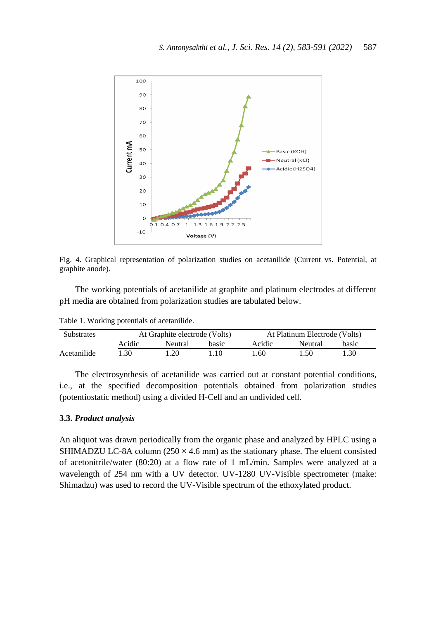

Fig. 4. Graphical representation of polarization studies on acetanilide (Current vs. Potential, at graphite anode).

The working potentials of acetanilide at graphite and platinum electrodes at different pH media are obtained from polarization studies are tabulated below.

| Substrates  | At Graphite electrode (Volts) |         |       | At Platinum Electrode (Volts) |         |       |
|-------------|-------------------------------|---------|-------|-------------------------------|---------|-------|
|             | Acidic                        | Neutral | basic | Acidic                        | Neutral | basic |
| Acetanilide | .30                           | 20      |       | l.60                          | .50     | . .30 |

Table 1. Working potentials of acetanilide.

The electrosynthesis of acetanilide was carried out at constant potential conditions, i.e., at the specified decomposition potentials obtained from polarization studies (potentiostatic method) using a divided H-Cell and an undivided cell.

## **3.3.** *Product analysis*

An aliquot was drawn periodically from the organic phase and analyzed by HPLC using a SHIMADZU LC-8A column  $(250 \times 4.6 \text{ mm})$  as the stationary phase. The eluent consisted of acetonitrile/water (80:20) at a flow rate of 1 mL/min. Samples were analyzed at a wavelength of 254 nm with a UV detector. UV-1280 UV-Visible spectrometer (make: Shimadzu) was used to record the UV-Visible spectrum of the ethoxylated product.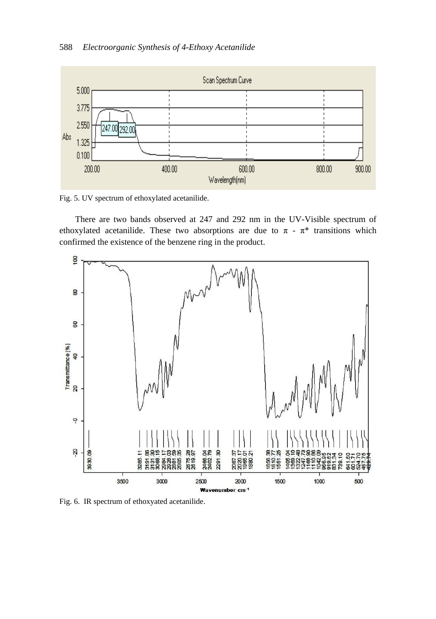

Fig. 5. UV spectrum of ethoxylated acetanilide.

There are two bands observed at 247 and 292 nm in the UV-Visible spectrum of ethoxylated acetanilide. These two absorptions are due to  $\pi$  -  $\pi^*$  transitions which confirmed the existence of the benzene ring in the product.



Fig. 6. IR spectrum of ethoxyated acetanilide.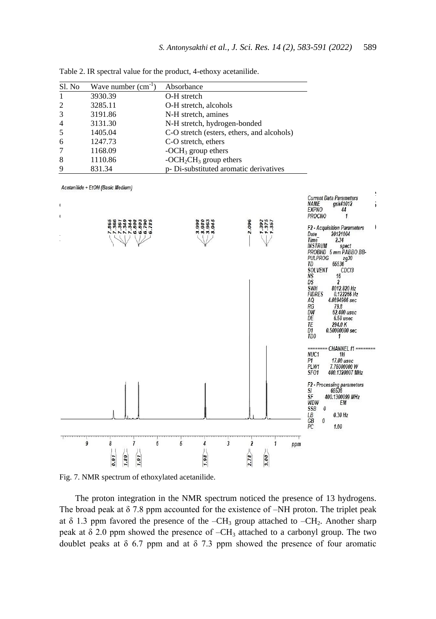| Sl. No         | Wave number $(cm^{-1})$ | Absorbance                                 |
|----------------|-------------------------|--------------------------------------------|
|                | 3930.39                 | O-H stretch                                |
| 2              | 3285.11                 | O-H stretch, alcohols                      |
| 3              | 3191.86                 | N-H stretch, amines                        |
| $\overline{4}$ | 3131.30                 | N-H stretch, hydrogen-bonded               |
| -5             | 1405.04                 | C-O stretch (esters, ethers, and alcohols) |
| 6              | 1247.73                 | C-O stretch, ethers                        |
| 7              | 1168.09                 | -OCH <sub>3</sub> group ethers             |
| 8              | 1110.86                 | $-OCH_2CH_3$ group ethers                  |
| 9              | 831.34                  | p- Di-substituted aromatic derivatives     |

Table 2. IR spectral value for the product, 4-ethoxy acetanilide.







The proton integration in the NMR spectrum noticed the presence of 13 hydrogens. The broad peak at  $\delta$  7.8 ppm accounted for the existence of –NH proton. The triplet peak at  $\delta$  1.3 ppm favored the presence of the -CH<sub>3</sub> group attached to -CH<sub>2</sub>. Another sharp peak at  $\delta$  2.0 ppm showed the presence of  $-CH_3$  attached to a carbonyl group. The two doublet peaks at  $\delta$  6.7 ppm and at  $\delta$  7.3 ppm showed the presence of four aromatic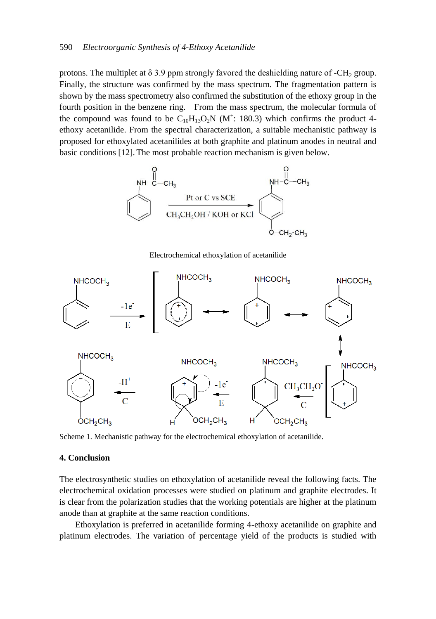#### 590 *Electroorganic Synthesis of 4-Ethoxy Acetanilide*

protons. The multiplet at  $\delta$  3.9 ppm strongly favored the deshielding nature of -CH<sub>2</sub> group. Finally, the structure was confirmed by the mass spectrum. The fragmentation pattern is shown by the mass spectrometry also confirmed the substitution of the ethoxy group in the fourth position in the benzene ring. From the mass spectrum, the molecular formula of the compound was found to be  $C_{10}H_{13}O_2N$  (M<sup>+</sup>: 180.3) which confirms the product 4ethoxy acetanilide. From the spectral characterization, a suitable mechanistic pathway is proposed for ethoxylated acetanilides at both graphite and platinum anodes in neutral and basic conditions [12]. The most probable reaction mechanism is given below.



Electrochemical ethoxylation of acetanilide



Scheme 1. Mechanistic pathway for the electrochemical ethoxylation of acetanilide.

#### **4. Conclusion**

The electrosynthetic studies on ethoxylation of acetanilide reveal the following facts. The electrochemical oxidation processes were studied on platinum and graphite electrodes. It is clear from the polarization studies that the working potentials are higher at the platinum anode than at graphite at the same reaction conditions.

Ethoxylation is preferred in acetanilide forming 4-ethoxy acetanilide on graphite and platinum electrodes. The variation of percentage yield of the products is studied with